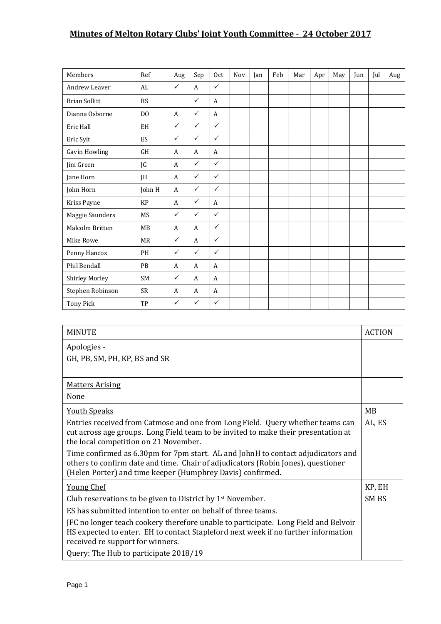## **Minutes of Melton Rotary Clubs' Joint Youth Committee - 24 October 2017**

| Members              | Ref            | Aug          | Sep          | 0 <sub>ct</sub> | Nov | Jan | Feb | Mar | Apr | May | Jun | Jul | Aug |
|----------------------|----------------|--------------|--------------|-----------------|-----|-----|-----|-----|-----|-----|-----|-----|-----|
| Andrew Leaver        | AL             | $\checkmark$ | $\mathsf{A}$ | $\checkmark$    |     |     |     |     |     |     |     |     |     |
| <b>Brian Sollitt</b> | <b>BS</b>      |              | $\checkmark$ | A               |     |     |     |     |     |     |     |     |     |
| Dianna Osborne       | D <sub>O</sub> | $\mathbf{A}$ | $\checkmark$ | $\overline{A}$  |     |     |     |     |     |     |     |     |     |
| Eric Hall            | EH             | $\checkmark$ | $\checkmark$ | $\checkmark$    |     |     |     |     |     |     |     |     |     |
| Eric Sylt            | ES             | $\checkmark$ | $\checkmark$ | $\checkmark$    |     |     |     |     |     |     |     |     |     |
| <b>Gavin Howling</b> | <b>GH</b>      | $\mathbf{A}$ | A            | $\overline{A}$  |     |     |     |     |     |     |     |     |     |
| Jim Green            | JG             | $\mathbf{A}$ | $\checkmark$ | $\checkmark$    |     |     |     |     |     |     |     |     |     |
| Jane Horn            | JH             | $\mathbf{A}$ | $\checkmark$ | $\checkmark$    |     |     |     |     |     |     |     |     |     |
| John Horn            | John H         | A            | $\checkmark$ | $\checkmark$    |     |     |     |     |     |     |     |     |     |
| Kriss Payne          | KP             | A            | $\checkmark$ | A               |     |     |     |     |     |     |     |     |     |
| Maggie Saunders      | <b>MS</b>      | $\checkmark$ | $\checkmark$ | $\checkmark$    |     |     |     |     |     |     |     |     |     |
| Malcolm Britten      | MB             | $\mathbf{A}$ | A            | $\checkmark$    |     |     |     |     |     |     |     |     |     |
| Mike Rowe            | <b>MR</b>      | $\checkmark$ | A            | $\checkmark$    |     |     |     |     |     |     |     |     |     |
| Penny Hancox         | PH             | $\checkmark$ | $\checkmark$ | $\checkmark$    |     |     |     |     |     |     |     |     |     |
| Phil Bendall         | <b>PB</b>      | A            | A            | A               |     |     |     |     |     |     |     |     |     |
| Shirley Morley       | <b>SM</b>      | $\checkmark$ | A            | A               |     |     |     |     |     |     |     |     |     |
| Stephen Robinson     | ${\sf SR}$     | A            | A            | $\mathbf{A}$    |     |     |     |     |     |     |     |     |     |
| Tony Pick            | TP             | $\checkmark$ | $\checkmark$ | $\checkmark$    |     |     |     |     |     |     |     |     |     |

| <b>MINUTE</b>                                                                                                                                                                                                                      | <b>ACTION</b> |
|------------------------------------------------------------------------------------------------------------------------------------------------------------------------------------------------------------------------------------|---------------|
| Apologies -                                                                                                                                                                                                                        |               |
| GH, PB, SM, PH, KP, BS and SR                                                                                                                                                                                                      |               |
|                                                                                                                                                                                                                                    |               |
| <b>Matters Arising</b>                                                                                                                                                                                                             |               |
| None                                                                                                                                                                                                                               |               |
| <b>Youth Speaks</b>                                                                                                                                                                                                                | MB            |
| Entries received from Catmose and one from Long Field. Query whether teams can<br>cut across age groups. Long Field team to be invited to make their presentation at<br>the local competition on 21 November.                      | AL, ES        |
| Time confirmed as 6.30pm for 7pm start. AL and JohnH to contact adjudicators and<br>others to confirm date and time. Chair of adjudicators (Robin Jones), questioner<br>(Helen Porter) and time keeper (Humphrey Davis) confirmed. |               |
| <b>Young Chef</b>                                                                                                                                                                                                                  | KP, EH        |
| Club reservations to be given to District by $1st$ November.                                                                                                                                                                       | SM BS         |
| ES has submitted intention to enter on behalf of three teams.                                                                                                                                                                      |               |
| JFC no longer teach cookery therefore unable to participate. Long Field and Belvoir<br>HS expected to enter. EH to contact Stapleford next week if no further information<br>received re support for winners.                      |               |
| Query: The Hub to participate 2018/19                                                                                                                                                                                              |               |